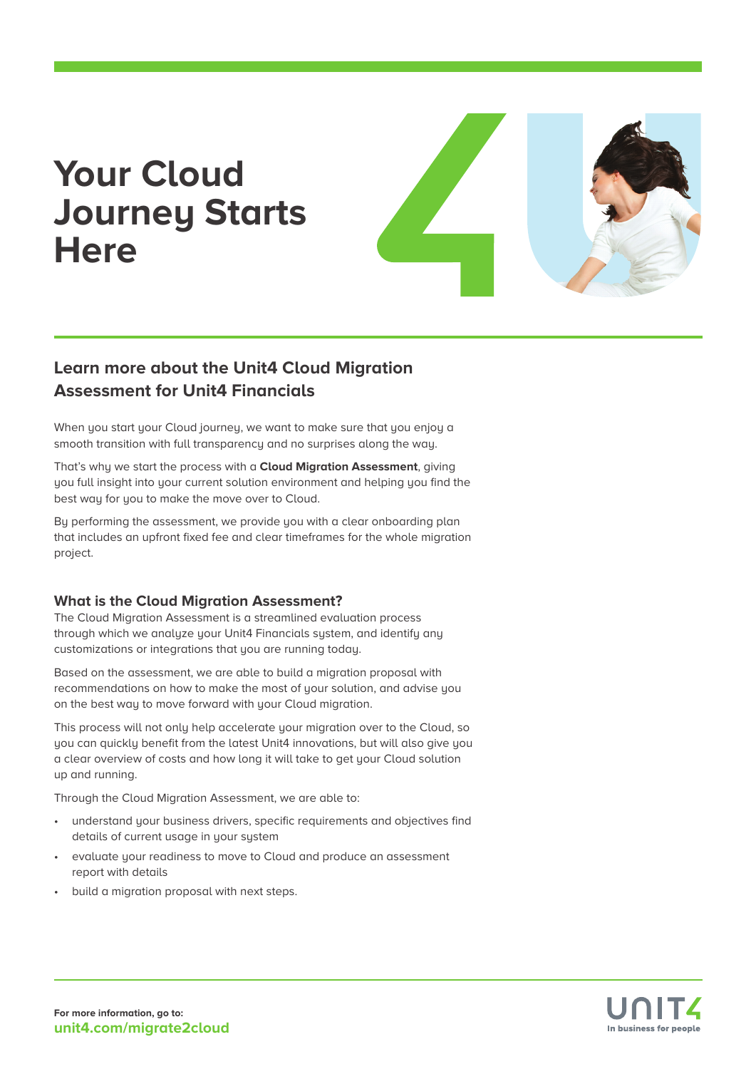# **Your Cloud Journey Starts Here**



## **Learn more about the Unit4 Cloud Migration Assessment for Unit4 Financials**

When you start your Cloud journey, we want to make sure that you enjoy a smooth transition with full transparency and no surprises along the way.

That's why we start the process with a **Cloud Migration Assessment**, giving you full insight into your current solution environment and helping you find the best way for you to make the move over to Cloud.

By performing the assessment, we provide you with a clear onboarding plan that includes an upfront fixed fee and clear timeframes for the whole migration project.

#### **What is the Cloud Migration Assessment?**

The Cloud Migration Assessment is a streamlined evaluation process through which we analyze your Unit4 Financials system, and identify any customizations or integrations that you are running today.

Based on the assessment, we are able to build a migration proposal with recommendations on how to make the most of your solution, and advise you on the best way to move forward with your Cloud migration.

This process will not only help accelerate your migration over to the Cloud, so you can quickly benefit from the latest Unit4 innovations, but will also give you a clear overview of costs and how long it will take to get your Cloud solution up and running.

Through the Cloud Migration Assessment, we are able to:

- understand your business drivers, specific requirements and objectives find details of current usage in your system
- evaluate your readiness to move to Cloud and produce an assessment report with details
- build a migration proposal with next steps.

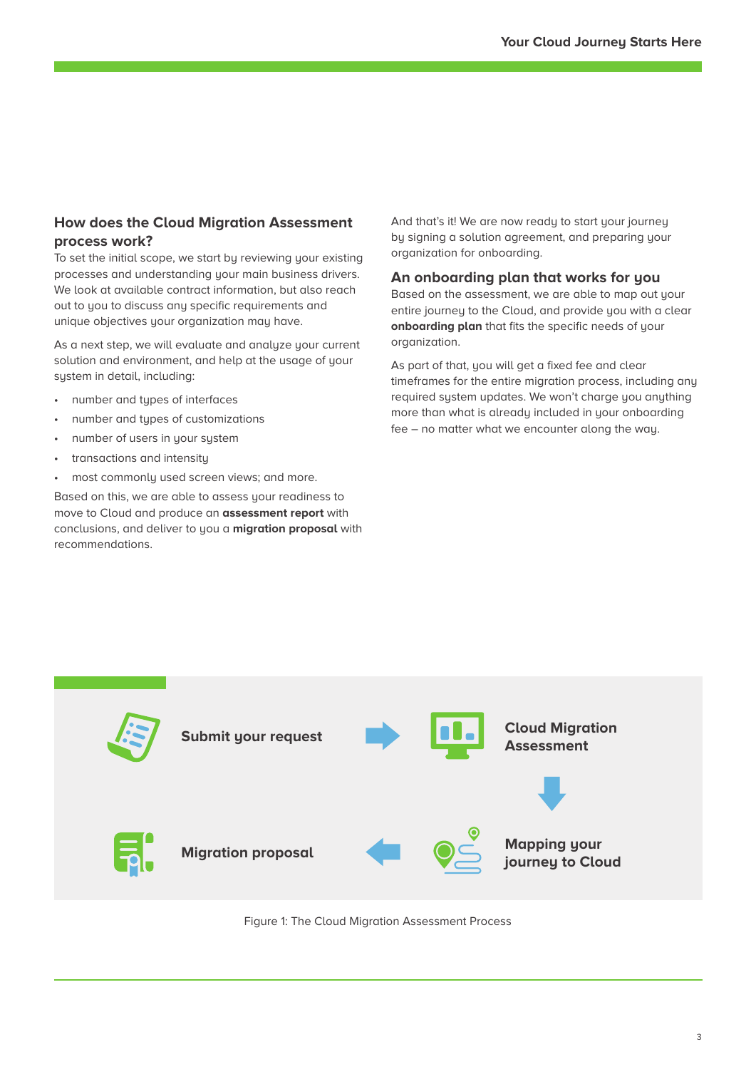### **How does the Cloud Migration Assessment process work?**

To set the initial scope, we start by reviewing your existing processes and understanding your main business drivers. We look at available contract information, but also reach out to you to discuss any specific requirements and unique objectives your organization may have.

As a next step, we will evaluate and analyze your current solution and environment, and help at the usage of your system in detail, including:

- number and types of interfaces
- number and types of customizations
- number of users in your system
- transactions and intensity
- most commonly used screen views; and more.

Based on this, we are able to assess your readiness to move to Cloud and produce an **assessment report** with conclusions, and deliver to you a **migration proposal** with recommendations.

And that's it! We are now ready to start your journey by signing a solution agreement, and preparing your organization for onboarding.

#### **An onboarding plan that works for you**

Based on the assessment, we are able to map out your entire journey to the Cloud, and provide you with a clear **onboarding plan** that fits the specific needs of your organization.

As part of that, you will get a fixed fee and clear timeframes for the entire migration process, including any required system updates. We won't charge you anything more than what is already included in your onboarding fee – no matter what we encounter along the way.



Figure 1: The Cloud Migration Assessment Process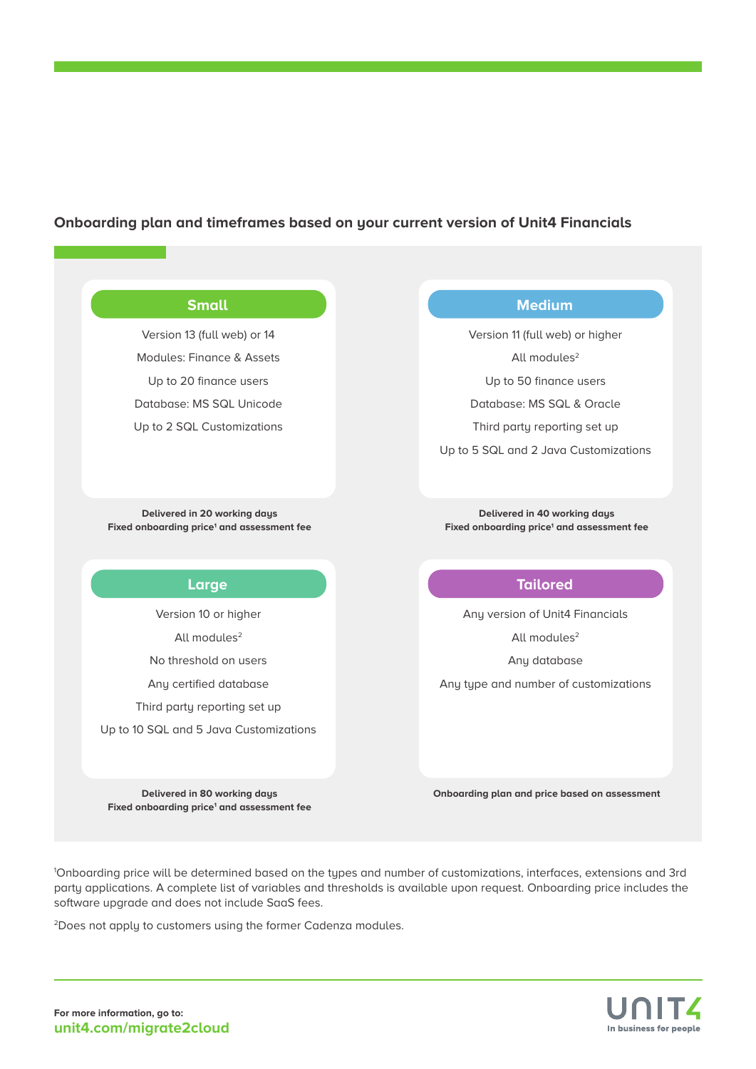### **Onboarding plan and timeframes based on your current version of Unit4 Financials**

#### **Small**

Version 13 (full web) or 14 Modules: Finance & Assets Up to 20 finance users Database: MS SQL Unicode Up to 2 SQL Customizations

**Delivered in 20 working days** Fixed onboarding price<sup>1</sup> and assessment fee

#### **Large**

Version 10 or higher All modules<sup>2</sup> No threshold on users Any certified database Third party reporting set up Up to 10 SQL and 5 Java Customizations

**Delivered in 80 working days** Fixed onboarding price<sup>1</sup> and assessment fee

### **Medium**

Version 11 (full web) or higher All modules<sup>2</sup> Up to 50 finance users Database: MS SQL & Oracle Third party reporting set up

Up to 5 SQL and 2 Java Customizations

**Delivered in 40 working days** Fixed onboarding price<sup>1</sup> and assessment fee

#### **Tailored**

Any version of Unit4 Financials

All modules<sup>2</sup>

Any database

Any type and number of customizations

**Onboarding plan and price based on assessment**

1 Onboarding price will be determined based on the types and number of customizations, interfaces, extensions and 3rd party applications. A complete list of variables and thresholds is available upon request. Onboarding price includes the software upgrade and does not include SaaS fees.

2Does not apply to customers using the former Cadenza modules.